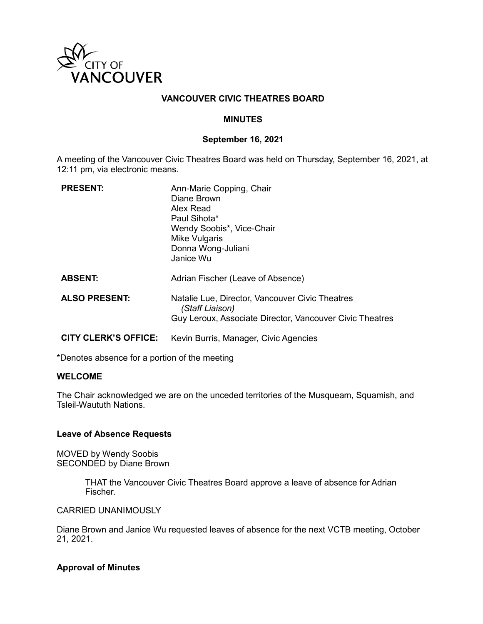

## **VANCOUVER CIVIC THEATRES BOARD**

### **MINUTES**

#### **September 16, 2021**

A meeting of the Vancouver Civic Theatres Board was held on Thursday, September 16, 2021, at 12:11 pm, via electronic means.

| <b>PRESENT:</b>             | Ann-Marie Copping, Chair<br>Diane Brown<br>Alex Read<br>Paul Sihota*<br>Wendy Soobis*, Vice-Chair<br>Mike Vulgaris<br>Donna Wong-Juliani<br>Janice Wu |
|-----------------------------|-------------------------------------------------------------------------------------------------------------------------------------------------------|
| <b>ABSENT:</b>              | Adrian Fischer (Leave of Absence)                                                                                                                     |
| <b>ALSO PRESENT:</b>        | Natalie Lue, Director, Vancouver Civic Theatres<br>(Staff Liaison)<br>Guy Leroux, Associate Director, Vancouver Civic Theatres                        |
| <b>CITY CLERK'S OFFICE:</b> | Kevin Burris, Manager, Civic Agencies                                                                                                                 |

\*Denotes absence for a portion of the meeting

### **WELCOME**

The Chair acknowledged we are on the unceded territories of the Musqueam, Squamish, and Tsleil-Waututh Nations.

### **Leave of Absence Requests**

MOVED by Wendy Soobis SECONDED by Diane Brown

> THAT the Vancouver Civic Theatres Board approve a leave of absence for Adrian Fischer.

#### CARRIED UNANIMOUSLY

Diane Brown and Janice Wu requested leaves of absence for the next VCTB meeting, October 21, 2021.

### **Approval of Minutes**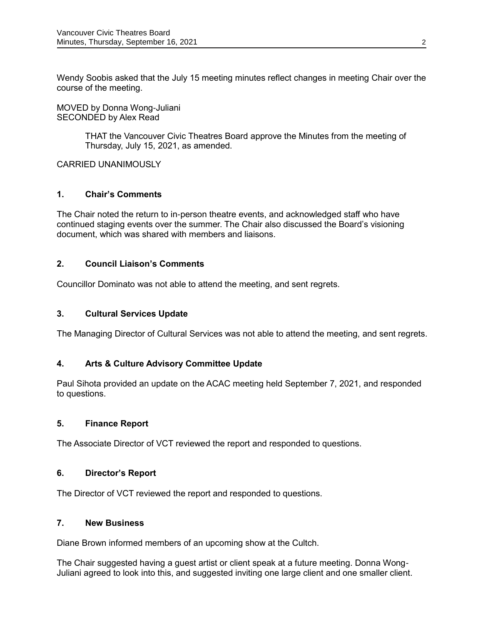Wendy Soobis asked that the July 15 meeting minutes reflect changes in meeting Chair over the course of the meeting.

MOVED by Donna Wong-Juliani SECONDED by Alex Read

> THAT the Vancouver Civic Theatres Board approve the Minutes from the meeting of Thursday, July 15, 2021, as amended.

CARRIED UNANIMOUSLY

# **1. Chair's Comments**

The Chair noted the return to in-person theatre events, and acknowledged staff who have continued staging events over the summer. The Chair also discussed the Board's visioning document, which was shared with members and liaisons.

### **2. Council Liaison's Comments**

Councillor Dominato was not able to attend the meeting, and sent regrets.

## **3. Cultural Services Update**

The Managing Director of Cultural Services was not able to attend the meeting, and sent regrets.

# **4. Arts & Culture Advisory Committee Update**

Paul Sihota provided an update on the ACAC meeting held September 7, 2021, and responded to questions.

### **5. Finance Report**

The Associate Director of VCT reviewed the report and responded to questions.

### **6. Director's Report**

The Director of VCT reviewed the report and responded to questions.

### **7. New Business**

Diane Brown informed members of an upcoming show at the Cultch.

The Chair suggested having a guest artist or client speak at a future meeting. Donna Wong-Juliani agreed to look into this, and suggested inviting one large client and one smaller client.